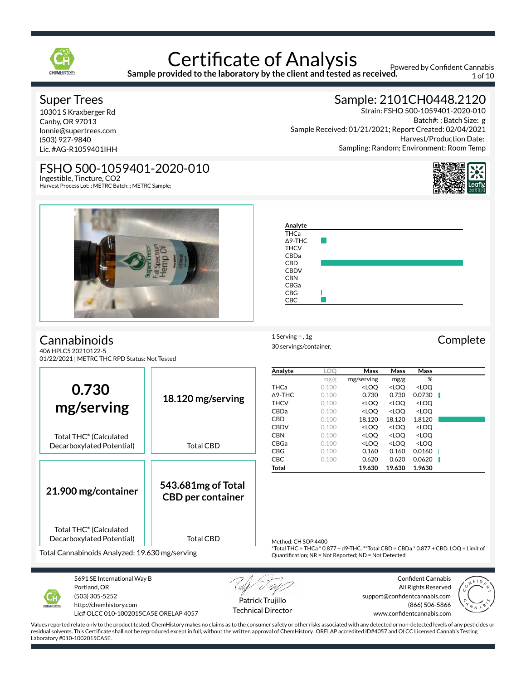

**Sample provided to the laboratory by the client and tested as received.**

Powered by Confident Cannabis 1 of 10

Batch#: ; Batch Size: g

Harvest/Production Date:

Sample: 2101CH0448.2120 Strain: FSHO 500-1059401-2020-010

Sampling: Random; Environment: Room Temp

Sample Received: 01/21/2021; Report Created: 02/04/2021

#### Super Trees

10301 S Kraxberger Rd Canby, OR 97013 lonnie@supertrees.com (503) 927-9840 Lic. #AG-R1059401IHH

## FSHO 500-1059401-2020-010

Ingestible, Tincture, CO2 Harvest Process Lot: ; METRC Batch: ; METRC Sample:



ז ר

## **Cannabinoids**

406 HPLC5 20210122-5 01/22/2021 | METRC THC RPD Status: Not Tested



1 Serving = , 1g<br>
Complete 30 servings/container,

|                                                                                                                   |                                                 | Analyte                                                                                                                                                             | loo   | Mass                                                                                 | <b>Mass</b>                                              | Mass                         |  |
|-------------------------------------------------------------------------------------------------------------------|-------------------------------------------------|---------------------------------------------------------------------------------------------------------------------------------------------------------------------|-------|--------------------------------------------------------------------------------------|----------------------------------------------------------|------------------------------|--|
|                                                                                                                   |                                                 |                                                                                                                                                                     | mg/g  | mg/serving                                                                           | mg/g                                                     | %                            |  |
|                                                                                                                   |                                                 | THCa                                                                                                                                                                | 0.100 | <loo< td=""><td><loq< td=""><td><loq< td=""><td></td></loq<></td></loq<></td></loo<> | <loq< td=""><td><loq< td=""><td></td></loq<></td></loq<> | <loq< td=""><td></td></loq<> |  |
| 0.730                                                                                                             |                                                 | $\triangle$ 9-THC                                                                                                                                                   | 0.100 | 0.730                                                                                | 0.730                                                    | 0.0730                       |  |
|                                                                                                                   | 18.120 mg/serving                               | <b>THCV</b>                                                                                                                                                         | 0.100 | <loo< td=""><td><loo< td=""><td><loo< td=""><td></td></loo<></td></loo<></td></loo<> | <loo< td=""><td><loo< td=""><td></td></loo<></td></loo<> | <loo< td=""><td></td></loo<> |  |
| mg/serving                                                                                                        |                                                 | CBDa                                                                                                                                                                | 0.100 | <loq< td=""><td><loq< td=""><td><loo< td=""><td></td></loo<></td></loq<></td></loq<> | <loq< td=""><td><loo< td=""><td></td></loo<></td></loq<> | <loo< td=""><td></td></loo<> |  |
|                                                                                                                   |                                                 | CBD.                                                                                                                                                                | 0.100 | 18.120                                                                               | 18.120                                                   | 1.8120                       |  |
|                                                                                                                   |                                                 | <b>CBDV</b>                                                                                                                                                         | 0.100 | <loq< td=""><td><loq< td=""><td><loq< td=""><td></td></loq<></td></loq<></td></loq<> | <loq< td=""><td><loq< td=""><td></td></loq<></td></loq<> | <loq< td=""><td></td></loq<> |  |
| Total THC <sup>*</sup> (Calculated                                                                                |                                                 | <b>CBN</b>                                                                                                                                                          | 0.100 | <loq< td=""><td><loq< td=""><td><loo< td=""><td></td></loo<></td></loq<></td></loq<> | <loq< td=""><td><loo< td=""><td></td></loo<></td></loq<> | <loo< td=""><td></td></loo<> |  |
|                                                                                                                   |                                                 | CBGa                                                                                                                                                                | 0.100 | <loq< td=""><td><loq< td=""><td><loq< td=""><td></td></loq<></td></loq<></td></loq<> | <loq< td=""><td><loq< td=""><td></td></loq<></td></loq<> | <loq< td=""><td></td></loq<> |  |
| Decarboxylated Potential)                                                                                         | <b>Total CBD</b>                                | <b>CBG</b>                                                                                                                                                          | 0.100 | 0.160                                                                                | 0.160                                                    | 0.0160                       |  |
|                                                                                                                   |                                                 | CBC                                                                                                                                                                 | 0.100 | 0.620                                                                                | 0.620                                                    | 0.0620                       |  |
|                                                                                                                   |                                                 | Total                                                                                                                                                               |       | 19.630                                                                               | 19.630                                                   | 1.9630                       |  |
| 21.900 mg/container                                                                                               | 543.681 mg of Total<br><b>CBD</b> per container |                                                                                                                                                                     |       |                                                                                      |                                                          |                              |  |
| Total THC <sup>*</sup> (Calculated<br>Decarboxylated Potential)<br>Total Cannabinoids Analyzed: 19.630 mg/serving | <b>Total CBD</b>                                | Method: CH SOP 4400<br>*Total THC = THCa * 0.877 + d9-THC. **Total CBD = CBDa * 0.877 + CBD. LOO = Limit of<br>Quantification; NR = Not Reported; ND = Not Detected |       |                                                                                      |                                                          |                              |  |
|                                                                                                                   |                                                 |                                                                                                                                                                     |       |                                                                                      |                                                          |                              |  |



5691 SE International Way B Portland, OR (503) 305-5252 http://chemhistory.com

Lic# OLCC 010-1002015CA5E ORELAP 4057

Patrick Trujillo Technical Director

Confident Cannabis All Rights Reserved support@confidentcannabis.com (866) 506-5866 www.confidentcannabis.com

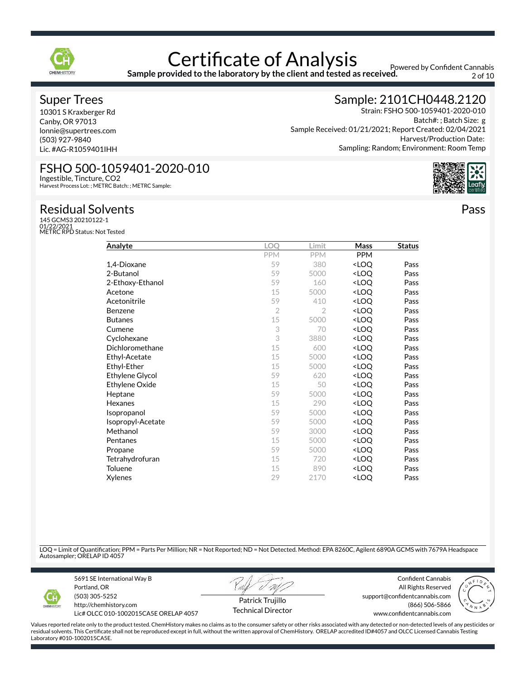

**Sample provided to the laboratory by the client and tested as received.**

Powered by Confident Cannabis 2 of 10

#### Super Trees

10301 S Kraxberger Rd Canby, OR 97013 lonnie@supertrees.com (503) 927-9840 Lic. #AG-R1059401IHH

## Sample: 2101CH0448.2120

Strain: FSHO 500-1059401-2020-010 Batch#: ; Batch Size: g Sample Received: 01/21/2021; Report Created: 02/04/2021 Harvest/Production Date: Sampling: Random; Environment: Room Temp



Pass

#### FSHO 500-1059401-2020-010 Ingestible, Tincture, CO2

Harvest Process Lot: ; METRC Batch: ; METRC Sample:

#### Residual Solvents

145 GCMS3 20210122-1 01/22/2021 METRC RPD Status: Not Tested

| Analyte                | LOQ            | Limit          | Mass                             | <b>Status</b> |
|------------------------|----------------|----------------|----------------------------------|---------------|
|                        | <b>PPM</b>     | <b>PPM</b>     | <b>PPM</b>                       |               |
| 1,4-Dioxane            | 59             | 380            | <loq< td=""><td>Pass</td></loq<> | Pass          |
| 2-Butanol              | 59             | 5000           | <loq< td=""><td>Pass</td></loq<> | Pass          |
| 2-Ethoxy-Ethanol       | 59             | 160            | <loq< td=""><td>Pass</td></loq<> | Pass          |
| Acetone                | 15             | 5000           | <loq< td=""><td>Pass</td></loq<> | Pass          |
| Acetonitrile           | 59             | 410            | <loq< td=""><td>Pass</td></loq<> | Pass          |
| <b>Benzene</b>         | $\overline{2}$ | $\overline{2}$ | <loq< td=""><td>Pass</td></loq<> | Pass          |
| <b>Butanes</b>         | 15             | 5000           | <loq< td=""><td>Pass</td></loq<> | Pass          |
| Cumene                 | 3              | 70             | <loq< td=""><td>Pass</td></loq<> | Pass          |
| Cyclohexane            | 3              | 3880           | <loq< td=""><td>Pass</td></loq<> | Pass          |
| Dichloromethane        | 15             | 600            | <loq< td=""><td>Pass</td></loq<> | Pass          |
| Ethyl-Acetate          | 15             | 5000           | <loq< td=""><td>Pass</td></loq<> | Pass          |
| Ethyl-Ether            | 15             | 5000           | <loq< td=""><td>Pass</td></loq<> | Pass          |
| <b>Ethylene Glycol</b> | 59             | 620            | <loq< td=""><td>Pass</td></loq<> | Pass          |
| Ethylene Oxide         | 15             | 50             | <loq< td=""><td>Pass</td></loq<> | Pass          |
| Heptane                | 59             | 5000           | <loq< td=""><td>Pass</td></loq<> | Pass          |
| Hexanes                | 15             | 290            | <loq< td=""><td>Pass</td></loq<> | Pass          |
| Isopropanol            | 59             | 5000           | <loq< td=""><td>Pass</td></loq<> | Pass          |
| Isopropyl-Acetate      | 59             | 5000           | <loq< td=""><td>Pass</td></loq<> | Pass          |
| Methanol               | 59             | 3000           | <loq< td=""><td>Pass</td></loq<> | Pass          |
| Pentanes               | 15             | 5000           | <loq< td=""><td>Pass</td></loq<> | Pass          |
| Propane                | 59             | 5000           | <loq< td=""><td>Pass</td></loq<> | Pass          |
| Tetrahydrofuran        | 15             | 720            | <loq< td=""><td>Pass</td></loq<> | Pass          |
| Toluene                | 15             | 890            | <loq< td=""><td>Pass</td></loq<> | Pass          |
| <b>Xylenes</b>         | 29             | 2170           | <loq< td=""><td>Pass</td></loq<> | Pass          |

LOQ = Limit of Quantification; PPM = Parts Per Million; NR = Not Reported; ND = Not Detected. Method: EPA 8260C, Agilent 6890A GCMS with 7679A Headspace Autosampler; ORELAP ID 4057



5691 SE International Way B Portland, OR (503) 305-5252 http://chemhistory.com

Lic# OLCC 010-1002015CA5E ORELAP 4057

Patrick Trujillo Technical Director

Confident Cannabis All Rights Reserved support@confidentcannabis.com (866) 506-5866 www.confidentcannabis.com

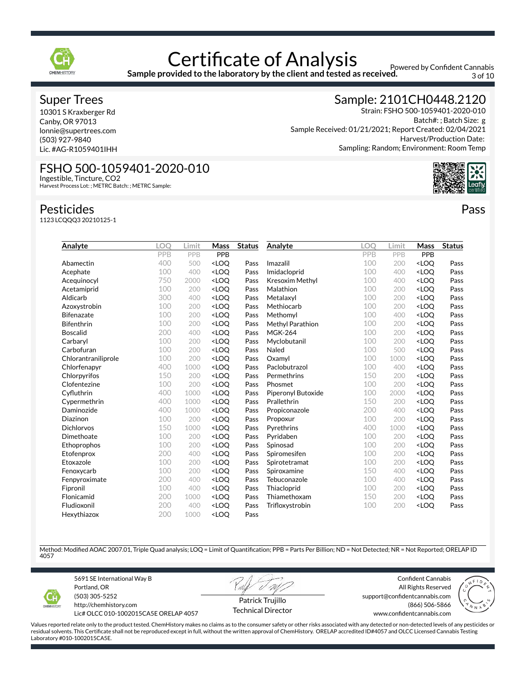

**Sample provided to the laboratory by the client and tested as received.**

Powered by Confident Cannabis 3 of 10

#### Super Trees

10301 S Kraxberger Rd Canby, OR 97013 lonnie@supertrees.com (503) 927-9840 Lic. #AG-R1059401IHH

## Sample: 2101CH0448.2120

Strain: FSHO 500-1059401-2020-010 Batch#: ; Batch Size: g Sample Received: 01/21/2021; Report Created: 02/04/2021 Harvest/Production Date: Sampling: Random; Environment: Room Temp



Pass

#### FSHO 500-1059401-2020-010 Ingestible, Tincture, CO2

Harvest Process Lot: ; METRC Batch: ; METRC Sample:

#### Pesticides

1123 LCQQQ3 20210125-1

| Analyte             | LOO | Limit | Mass                                                                                                                          | <b>Status</b> | Analyte            | LOO | Limit | Mass                             | <b>Status</b> |
|---------------------|-----|-------|-------------------------------------------------------------------------------------------------------------------------------|---------------|--------------------|-----|-------|----------------------------------|---------------|
|                     | PPB | PPB   | PPB                                                                                                                           |               |                    | PPB | PPB   | PPB                              |               |
| Abamectin           | 400 | 500   | <loo< th=""><th>Pass</th><th>Imazalil</th><th>100</th><th>200</th><th><loq< th=""><th>Pass</th></loq<></th></loo<>            | Pass          | Imazalil           | 100 | 200   | <loq< th=""><th>Pass</th></loq<> | Pass          |
| Acephate            | 100 | 400   | <loo< th=""><th>Pass</th><th>Imidacloprid</th><th>100</th><th>400</th><th><loq< th=""><th>Pass</th></loq<></th></loo<>        | Pass          | Imidacloprid       | 100 | 400   | <loq< th=""><th>Pass</th></loq<> | Pass          |
| Acequinocyl         | 750 | 2000  | <loo< th=""><th>Pass</th><th>Kresoxim Methyl</th><th>100</th><th>400</th><th><loo< th=""><th>Pass</th></loo<></th></loo<>     | Pass          | Kresoxim Methyl    | 100 | 400   | <loo< th=""><th>Pass</th></loo<> | Pass          |
| Acetamiprid         | 100 | 200   | <loq< th=""><th>Pass</th><th>Malathion</th><th>100</th><th>200</th><th><loq< th=""><th>Pass</th></loq<></th></loq<>           | Pass          | Malathion          | 100 | 200   | <loq< th=""><th>Pass</th></loq<> | Pass          |
| Aldicarb            | 300 | 400   | <loq< th=""><th>Pass</th><th>Metalaxyl</th><th>100</th><th>200</th><th><loq< th=""><th>Pass</th></loq<></th></loq<>           | Pass          | Metalaxyl          | 100 | 200   | <loq< th=""><th>Pass</th></loq<> | Pass          |
| Azoxystrobin        | 100 | 200   | <loq< th=""><th>Pass</th><th>Methiocarb</th><th>100</th><th>200</th><th><loo< th=""><th>Pass</th></loo<></th></loq<>          | Pass          | Methiocarb         | 100 | 200   | <loo< th=""><th>Pass</th></loo<> | Pass          |
| <b>Bifenazate</b>   | 100 | 200   | <loq< th=""><th>Pass</th><th>Methomyl</th><th>100</th><th>400</th><th><loq< th=""><th>Pass</th></loq<></th></loq<>            | Pass          | Methomyl           | 100 | 400   | <loq< th=""><th>Pass</th></loq<> | Pass          |
| <b>Bifenthrin</b>   | 100 | 200   | <loq< th=""><th>Pass</th><th>Methyl Parathion</th><th>100</th><th>200</th><th><loq< th=""><th>Pass</th></loq<></th></loq<>    | Pass          | Methyl Parathion   | 100 | 200   | <loq< th=""><th>Pass</th></loq<> | Pass          |
| <b>Boscalid</b>     | 200 | 400   | <loo< th=""><th>Pass</th><th><b>MGK-264</b></th><th>100</th><th>200</th><th><loo< th=""><th>Pass</th></loo<></th></loo<>      | Pass          | <b>MGK-264</b>     | 100 | 200   | <loo< th=""><th>Pass</th></loo<> | Pass          |
| Carbaryl            | 100 | 200   | <loq< th=""><th>Pass</th><th>Myclobutanil</th><th>100</th><th>200</th><th><loq< th=""><th>Pass</th></loq<></th></loq<>        | Pass          | Myclobutanil       | 100 | 200   | <loq< th=""><th>Pass</th></loq<> | Pass          |
| Carbofuran          | 100 | 200   | <loo< th=""><th>Pass</th><th>Naled</th><th>100</th><th>500</th><th><loo< th=""><th>Pass</th></loo<></th></loo<>               | Pass          | Naled              | 100 | 500   | <loo< th=""><th>Pass</th></loo<> | Pass          |
| Chlorantraniliprole | 100 | 200   | <loq< th=""><th>Pass</th><th>Oxamyl</th><th>100</th><th>1000</th><th><loq< th=""><th>Pass</th></loq<></th></loq<>             | Pass          | Oxamyl             | 100 | 1000  | <loq< th=""><th>Pass</th></loq<> | Pass          |
| Chlorfenapyr        | 400 | 1000  | <loq< th=""><th>Pass</th><th>Paclobutrazol</th><th>100</th><th>400</th><th><loq< th=""><th>Pass</th></loq<></th></loq<>       | Pass          | Paclobutrazol      | 100 | 400   | <loq< th=""><th>Pass</th></loq<> | Pass          |
| Chlorpyrifos        | 150 | 200   | <loo< th=""><th>Pass</th><th>Permethrins</th><th>150</th><th>200</th><th><loo< th=""><th>Pass</th></loo<></th></loo<>         | Pass          | Permethrins        | 150 | 200   | <loo< th=""><th>Pass</th></loo<> | Pass          |
| Clofentezine        | 100 | 200   | <loq< th=""><th>Pass</th><th>Phosmet</th><th>100</th><th>200</th><th><loq< th=""><th>Pass</th></loq<></th></loq<>             | Pass          | Phosmet            | 100 | 200   | <loq< th=""><th>Pass</th></loq<> | Pass          |
| Cyfluthrin          | 400 | 1000  | <loq< th=""><th>Pass</th><th>Piperonyl Butoxide</th><th>100</th><th>2000</th><th><loq< th=""><th>Pass</th></loq<></th></loq<> | Pass          | Piperonyl Butoxide | 100 | 2000  | <loq< th=""><th>Pass</th></loq<> | Pass          |
| Cypermethrin        | 400 | 1000  | <loo< th=""><th>Pass</th><th>Prallethrin</th><th>150</th><th>200</th><th><loo< th=""><th>Pass</th></loo<></th></loo<>         | Pass          | Prallethrin        | 150 | 200   | <loo< th=""><th>Pass</th></loo<> | Pass          |
| Daminozide          | 400 | 1000  | <loq< th=""><th>Pass</th><th>Propiconazole</th><th>200</th><th>400</th><th><loq< th=""><th>Pass</th></loq<></th></loq<>       | Pass          | Propiconazole      | 200 | 400   | <loq< th=""><th>Pass</th></loq<> | Pass          |
| Diazinon            | 100 | 200   | <loo< th=""><th>Pass</th><th>Propoxur</th><th>100</th><th>200</th><th><loq< th=""><th>Pass</th></loq<></th></loo<>            | Pass          | Propoxur           | 100 | 200   | <loq< th=""><th>Pass</th></loq<> | Pass          |
| <b>Dichlorvos</b>   | 150 | 1000  | <loq< th=""><th>Pass</th><th>Pyrethrins</th><th>400</th><th>1000</th><th><loq< th=""><th>Pass</th></loq<></th></loq<>         | Pass          | Pyrethrins         | 400 | 1000  | <loq< th=""><th>Pass</th></loq<> | Pass          |
| Dimethoate          | 100 | 200   | <loq< th=""><th>Pass</th><th>Pyridaben</th><th>100</th><th>200</th><th><loq< th=""><th>Pass</th></loq<></th></loq<>           | Pass          | Pyridaben          | 100 | 200   | <loq< th=""><th>Pass</th></loq<> | Pass          |
| Ethoprophos         | 100 | 200   | <loo< th=""><th>Pass</th><th>Spinosad</th><th>100</th><th>200</th><th><loo< th=""><th>Pass</th></loo<></th></loo<>            | Pass          | Spinosad           | 100 | 200   | <loo< th=""><th>Pass</th></loo<> | Pass          |
| Etofenprox          | 200 | 400   | <loq< th=""><th>Pass</th><th>Spiromesifen</th><th>100</th><th>200</th><th><loq< th=""><th>Pass</th></loq<></th></loq<>        | Pass          | Spiromesifen       | 100 | 200   | <loq< th=""><th>Pass</th></loq<> | Pass          |
| Etoxazole           | 100 | 200   | <loq< th=""><th>Pass</th><th>Spirotetramat</th><th>100</th><th>200</th><th><loq< th=""><th>Pass</th></loq<></th></loq<>       | Pass          | Spirotetramat      | 100 | 200   | <loq< th=""><th>Pass</th></loq<> | Pass          |
| Fenoxycarb          | 100 | 200   | <loo< th=""><th>Pass</th><th>Spiroxamine</th><th>150</th><th>400</th><th><loq< th=""><th>Pass</th></loq<></th></loo<>         | Pass          | Spiroxamine        | 150 | 400   | <loq< th=""><th>Pass</th></loq<> | Pass          |
| Fenpyroximate       | 200 | 400   | <loq< th=""><th>Pass</th><th>Tebuconazole</th><th>100</th><th>400</th><th><loq< th=""><th>Pass</th></loq<></th></loq<>        | Pass          | Tebuconazole       | 100 | 400   | <loq< th=""><th>Pass</th></loq<> | Pass          |
| Fipronil            | 100 | 400   | <loq< th=""><th>Pass</th><th>Thiacloprid</th><th>100</th><th>200</th><th><loq< th=""><th>Pass</th></loq<></th></loq<>         | Pass          | Thiacloprid        | 100 | 200   | <loq< th=""><th>Pass</th></loq<> | Pass          |
| Flonicamid          | 200 | 1000  | <loq< th=""><th>Pass</th><th>Thiamethoxam</th><th>150</th><th>200</th><th><loq< th=""><th>Pass</th></loq<></th></loq<>        | Pass          | Thiamethoxam       | 150 | 200   | <loq< th=""><th>Pass</th></loq<> | Pass          |
| Fludioxonil         | 200 | 400   | <loq< th=""><th>Pass</th><th>Trifloxystrobin</th><th>100</th><th>200</th><th><loq< th=""><th>Pass</th></loq<></th></loq<>     | Pass          | Trifloxystrobin    | 100 | 200   | <loq< th=""><th>Pass</th></loq<> | Pass          |
| Hexythiazox         | 200 | 1000  | <loq< th=""><th>Pass</th><th></th><th></th><th></th><th></th><th></th></loq<>                                                 | Pass          |                    |     |       |                                  |               |

Method: Modified AOAC 2007.01, Triple Quad analysis; LOQ = Limit of Quantification; PPB = Parts Per Billion; ND = Not Detected; NR = Not Reported; ORELAP ID 4057



5691 SE International Way B Portland, OR (503) 305-5252 http://chemhistory.com

Lic# OLCC 010-1002015CA5E ORELAP 4057

Patrick Trujillo Technical Director

Confident Cannabis All Rights Reserved support@confidentcannabis.com (866) 506-5866 www.confidentcannabis.com

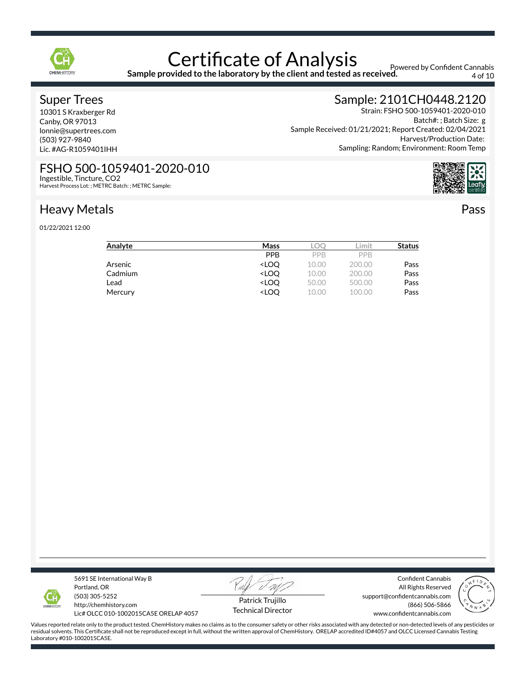

**Sample provided to the laboratory by the client and tested as received.**

Powered by Confident Cannabis 4 of 10

#### Super Trees

10301 S Kraxberger Rd Canby, OR 97013 lonnie@supertrees.com (503) 927-9840 Lic. #AG-R1059401IHH

## Sample: 2101CH0448.2120

Strain: FSHO 500-1059401-2020-010 Batch#: ; Batch Size: g Sample Received: 01/21/2021; Report Created: 02/04/2021 Harvest/Production Date: Sampling: Random; Environment: Room Temp



Pass

#### FSHO 500-1059401-2020-010 Ingestible, Tincture, CO2

Harvest Process Lot: ; METRC Batch: ; METRC Sample:

## Heavy Metals

01/22/2021 12:00

| Analyte | Mass                                                          | LOC   | .imit      | <b>Status</b> |
|---------|---------------------------------------------------------------|-------|------------|---------------|
|         | <b>PPB</b>                                                    | PPB   | <b>PPB</b> |               |
| Arsenic | <loo< td=""><td>10.00</td><td>200.00</td><td>Pass</td></loo<> | 10.00 | 200.00     | Pass          |
| Cadmium | <loo< td=""><td>10.00</td><td>200.00</td><td>Pass</td></loo<> | 10.00 | 200.00     | Pass          |
| Lead    | <loo< td=""><td>50.00</td><td>500.00</td><td>Pass</td></loo<> | 50.00 | 500.00     | Pass          |
| Mercury | <loo< td=""><td>10.00</td><td>100.00</td><td>Pass</td></loo<> | 10.00 | 100.00     | Pass          |
|         |                                                               |       |            |               |



5691 SE International Way B Portland, OR (503) 305-5252 http://chemhistory.com

Lic# OLCC 010-1002015CA5E ORELAP 4057

Patrick Trujillo Technical Director

Confident Cannabis All Rights Reserved support@confidentcannabis.com (866) 506-5866 www.confidentcannabis.com

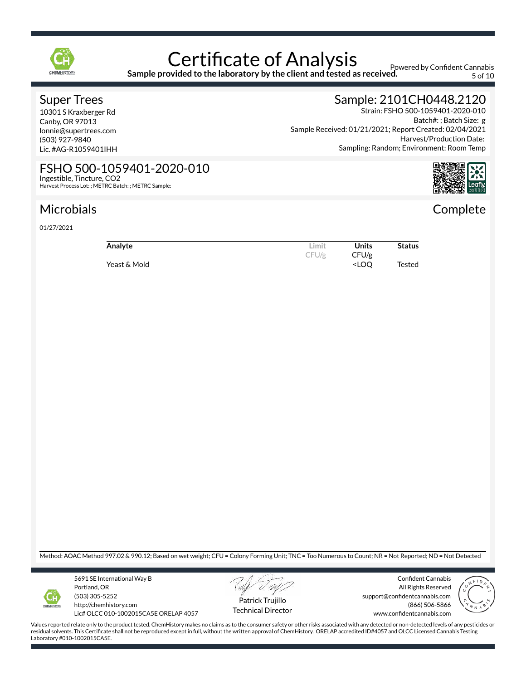

#### Certificate of Analysis **Sample provided to the laboratory by the client and tested as received.**

Powered by Confident Cannabis 5 of 10

#### Super Trees

10301 S Kraxberger Rd Canby, OR 97013 lonnie@supertrees.com Lic. #AG-R1059401IHH

# Sample: 2101CH0448.2120

Strain: FSHO 500-1059401-2020-010 Batch#: ; Batch Size: g Sample Received: 01/21/2021; Report Created: 02/04/2021 Harvest/Production Date: Sampling: Random; Environment: Room Temp

### (503) 927-9840

#### FSHO 500-1059401-2020-010 Ingestible, Tincture, CO2

Harvest Process Lot: ; METRC Batch: ; METRC Sample:

## Microbials

01/27/2021

| Analyte      | ∟imit | Units                              | <b>Status</b> |
|--------------|-------|------------------------------------|---------------|
|              | CFU/g | CFU/g                              |               |
| Yeast & Mold |       | <loo< td=""><td>Tested</td></loo<> | Tested        |

Method: AOAC Method 997.02 & 990.12; Based on wet weight; CFU = Colony Forming Unit; TNC = Too Numerous to Count; NR = Not Reported; ND = Not Detected



5691 SE International Way B Portland, OR (503) 305-5252 http://chemhistory.com

Lic# OLCC 010-1002015CA5E ORELAP 4057



Confident Cannabis All Rights Reserved support@confidentcannabis.com (866) 506-5866 www.confidentcannabis.com



Values reported relate only to the product tested. ChemHistory makes no claims as to the consumer safety or other risks associated with any detected or non-detected levels of any pesticides or residual solvents. This Certificate shall not be reproduced except in full, without the written approval of ChemHistory. ORELAP accredited ID#4057 and OLCC Licensed Cannabis Testing Laboratory #010-1002015CA5E.

Technical Director

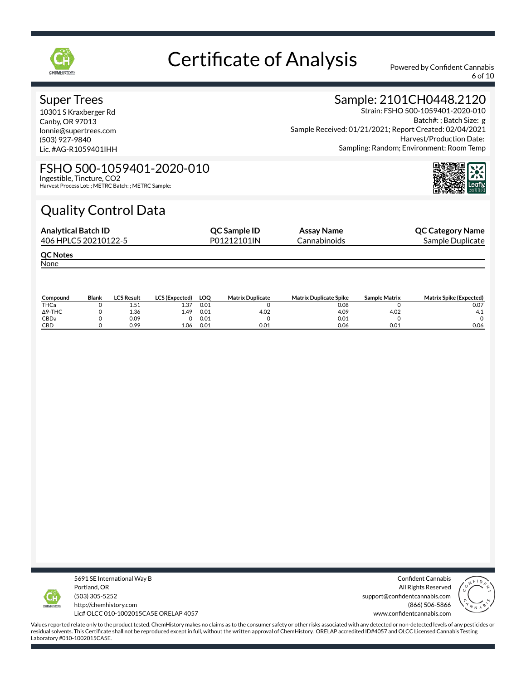

6 of 10

#### Super Trees

10301 S Kraxberger Rd Canby, OR 97013 lonnie@supertrees.com (503) 927-9840 Lic. #AG-R1059401IHH

## Sample: 2101CH0448.2120

Strain: FSHO 500-1059401-2020-010 Batch#: ; Batch Size: g Sample Received: 01/21/2021; Report Created: 02/04/2021 Harvest/Production Date: Sampling: Random; Environment: Room Temp

## FSHO 500-1059401-2020-010

Ingestible, Tincture, CO2 Harvest Process Lot: ; METRC Batch: ; METRC Sample:

# Quality Control Data

| <b>Analytical Batch ID</b> | <b>OC Sample ID</b> | Assay Name   | <b>QC Category Name</b> |
|----------------------------|---------------------|--------------|-------------------------|
| 406 HPLC5 20210122-5       | P01212101IN         | Cannabinoids | Sample Duplicate        |
| <b>QC Notes</b>            |                     |              |                         |
| None                       |                     |              |                         |

| Compound       | <b>Blank</b> | LCS Result             | <b>LCS (Expected)</b> | LOO  | <b>Matrix Duplicate</b> | <b>Matrix Duplicate Spike</b> | Sample Matrix | <b>Matrix Spike (Expected)</b> |
|----------------|--------------|------------------------|-----------------------|------|-------------------------|-------------------------------|---------------|--------------------------------|
| THCa           |              | $\overline{ }$<br>1.51 | 1.37                  | 0.01 |                         | 0.08                          |               | 0.07                           |
| $\Delta$ 9-THC |              | 1.36                   | 1.49                  | 0.01 | 4.02                    | 4.09                          | 4.02          | 4.1                            |
| CBDa           |              | 0.09                   |                       | 0.01 |                         | 0.01                          |               |                                |
| CBD            |              | 0.99                   | 1.06                  | 0.01 | 0.01                    | 0.06                          | 0.01          | 0.06                           |



5691 SE International Way B Portland, OR (503) 305-5252 http://chemhistory.com Lic# OLCC 010-1002015CA5E ORELAP 4057

Confident Cannabis All Rights Reserved support@confidentcannabis.com (866) 506-5866 www.confidentcannabis.com

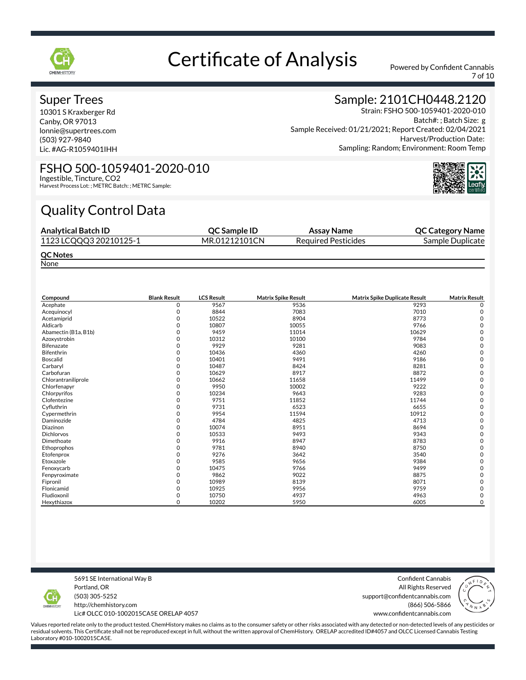

7 of 10

#### Super Trees

10301 S Kraxberger Rd Canby, OR 97013 lonnie@supertrees.com (503) 927-9840 Lic. #AG-R1059401IHH

## Sample: 2101CH0448.2120

Strain: FSHO 500-1059401-2020-010 Batch#: ; Batch Size: g Sample Received: 01/21/2021; Report Created: 02/04/2021 Harvest/Production Date: Sampling: Random; Environment: Room Temp

### FSHO 500-1059401-2020-010

Ingestible, Tincture, CO2 Harvest Process Lot: ; METRC Batch: ; METRC Sample:

# Quality Control Data

| <b>Analytical Batch ID</b> | <b>OC Sample ID</b> | Assay Name                 | <b>QC Category Name</b> |
|----------------------------|---------------------|----------------------------|-------------------------|
| 1123 LCQQQ3 20210125-1     | MR.01212101CN       | <b>Required Pesticides</b> | Sample Duplicate        |
| <b>QC Notes</b>            |                     |                            |                         |

None

| Compound             | <b>Blank Result</b> | <b>LCS Result</b> | <b>Matrix Spike Result</b> | <b>Matrix Spike Duplicate Result</b> | <b>Matrix Result</b> |
|----------------------|---------------------|-------------------|----------------------------|--------------------------------------|----------------------|
| Acephate             | $\Omega$            | 9567              | 9536                       | 9293                                 |                      |
| Acequinocyl          | O                   | 8844              | 7083                       | 7010                                 | C                    |
| Acetamiprid          | n                   | 10522             | 8904                       | 8773                                 |                      |
| Aldicarb             |                     | 10807             | 10055                      | 9766                                 |                      |
| Abamectin (B1a, B1b) |                     | 9459              | 11014                      | 10629                                |                      |
| Azoxystrobin         |                     | 10312             | 10100                      | 9784                                 |                      |
| Bifenazate           | ი                   | 9929              | 9281                       | 9083                                 |                      |
| Bifenthrin           | $\Omega$            | 10436             | 4360                       | 4260                                 |                      |
| <b>Boscalid</b>      |                     | 10401             | 9491                       | 9186                                 |                      |
| Carbaryl             |                     | 10487             | 8424                       | 8281                                 |                      |
| Carbofuran           | ი                   | 10629             | 8917                       | 8872                                 |                      |
| Chlorantraniliprole  |                     | 10662             | 11658                      | 11499                                |                      |
| Chlorfenapyr         | $\Omega$            | 9950              | 10002                      | 9222                                 | C                    |
| Chlorpyrifos         |                     | 10234             | 9643                       | 9283                                 |                      |
| Clofentezine         |                     | 9751              | 11852                      | 11744                                |                      |
| Cyfluthrin           |                     | 9731              | 6523                       | 6655                                 |                      |
| Cypermethrin         |                     | 9954              | 11594                      | 10912                                |                      |
| Daminozide           | $\Omega$            | 4784              | 4825                       | 4713                                 |                      |
| Diazinon             |                     | 10074             | 8951                       | 8694                                 |                      |
| <b>Dichlorvos</b>    | ი                   | 10533             | 9493                       | 9343                                 |                      |
| Dimethoate           |                     | 9916              | 8947                       | 8783                                 |                      |
| Ethoprophos          |                     | 9781              | 8940                       | 8750                                 |                      |
| Etofenprox           | $\Omega$            | 9276              | 3642                       | 3540                                 |                      |
| Etoxazole            |                     | 9585              | 9656                       | 9384                                 |                      |
| Fenoxycarb           | n                   | 10475             | 9766                       | 9499                                 |                      |
| Fenpyroximate        |                     | 9862              | 9022                       | 8875                                 |                      |
| Fipronil             |                     | 10989             | 8139                       | 8071                                 |                      |
| Flonicamid           | $\Omega$            | 10925             | 9956                       | 9759                                 |                      |
| Fludioxonil          | 0                   | 10750             | 4937                       | 4963                                 |                      |
| Hexythiazox          | $\Omega$            | 10202             | 5950                       | 6005                                 | $\Omega$             |

5691 SE International Way B Portland, OR (503) 305-5252

http://chemhistory.com Lic# OLCC 010-1002015CA5E ORELAP 4057

Confident Cannabis All Rights Reserved support@confidentcannabis.com (866) 506-5866

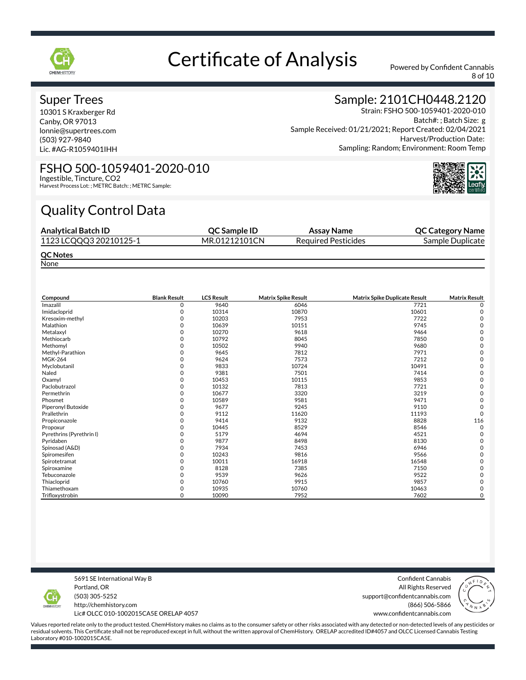

8 of 10

#### Super Trees

10301 S Kraxberger Rd Canby, OR 97013 lonnie@supertrees.com (503) 927-9840 Lic. #AG-R1059401IHH

## Sample: 2101CH0448.2120

Strain: FSHO 500-1059401-2020-010 Batch#: ; Batch Size: g Sample Received: 01/21/2021; Report Created: 02/04/2021 Harvest/Production Date: Sampling: Random; Environment: Room Temp

### FSHO 500-1059401-2020-010

Ingestible, Tincture, CO2 Harvest Process Lot: ; METRC Batch: ; METRC Sample:

# Quality Control Data

| <b>Analytical Batch ID</b> | <b>OC Sample ID</b> | Assay Name                 | <b>QC Category Name</b> |
|----------------------------|---------------------|----------------------------|-------------------------|
| 1123 LCQQQ3 20210125-1     | MR.01212101CN       | <b>Required Pesticides</b> | Sample Duplicate        |
| <b>QC Notes</b>            |                     |                            |                         |

**None** 

| Compound                 | <b>Blank Result</b> | <b>LCS Result</b> | <b>Matrix Spike Result</b> | <b>Matrix Spike Duplicate Result</b> | <b>Matrix Result</b> |
|--------------------------|---------------------|-------------------|----------------------------|--------------------------------------|----------------------|
| Imazalil                 | $\Omega$            | 9640              | 6046                       | 7721                                 | 0                    |
| Imidacloprid             |                     | 10314             | 10870                      | 10601                                |                      |
| Kresoxim-methyl          |                     | 10203             | 7953                       | 7722                                 |                      |
| Malathion                |                     | 10639             | 10151                      | 9745                                 |                      |
| Metalaxyl                |                     | 10270             | 9618                       | 9464                                 |                      |
| Methiocarb               | 0                   | 10792             | 8045                       | 7850                                 |                      |
| Methomyl                 | O                   | 10502             | 9940                       | 9680                                 |                      |
| Methyl-Parathion         |                     | 9645              | 7812                       | 7971                                 |                      |
| <b>MGK-264</b>           |                     | 9624              | 7573                       | 7212                                 |                      |
| Myclobutanil             |                     | 9833              | 10724                      | 10491                                |                      |
| Naled                    | O                   | 9381              | 7501                       | 7414                                 |                      |
| Oxamyl                   |                     | 10453             | 10115                      | 9853                                 |                      |
| Paclobutrazol            | O                   | 10132             | 7813                       | 7721                                 |                      |
| Permethrin               |                     | 10677             | 3320                       | 3219                                 |                      |
| Phosmet                  | O                   | 10589             | 9581                       | 9471                                 |                      |
| Piperonyl Butoxide       |                     | 9677              | 9245                       | 9110                                 |                      |
| Prallethrin              | ი                   | 9112              | 11620                      | 11193                                | 0                    |
| Propiconazole            |                     | 9414              | 9132                       | 8828                                 | 116                  |
| Propoxur                 | ი                   | 10445             | 8529                       | 8546                                 | $\Omega$             |
| Pyrethrins (Pyrethrin I) |                     | 5179              | 4694                       | 4521                                 |                      |
| Pyridaben                | ი                   | 9877              | 8498                       | 8130                                 |                      |
| Spinosad (A&D)           | 0                   | 7934              | 7453                       | 6946                                 |                      |
| Spiromesifen             | $\Omega$            | 10243             | 9816                       | 9566                                 |                      |
| Spirotetramat            |                     | 10011             | 16918                      | 16548                                |                      |
| Spiroxamine              | U                   | 8128              | 7385                       | 7150                                 |                      |
| Tebuconazole             |                     | 9539              | 9626                       | 9522                                 |                      |
| Thiacloprid              | 0                   | 10760             | 9915                       | 9857                                 |                      |
| Thiamethoxam             | ი                   | 10935             | 10760                      | 10463                                |                      |
| Trifloxystrobin          | 0                   | 10090             | 7952                       | 7602                                 | 0                    |

5691 SE International Way B Portland, OR (503) 305-5252

http://chemhistory.com Lic# OLCC 010-1002015CA5E ORELAP 4057

Confident Cannabis All Rights Reserved support@confidentcannabis.com (866) 506-5866

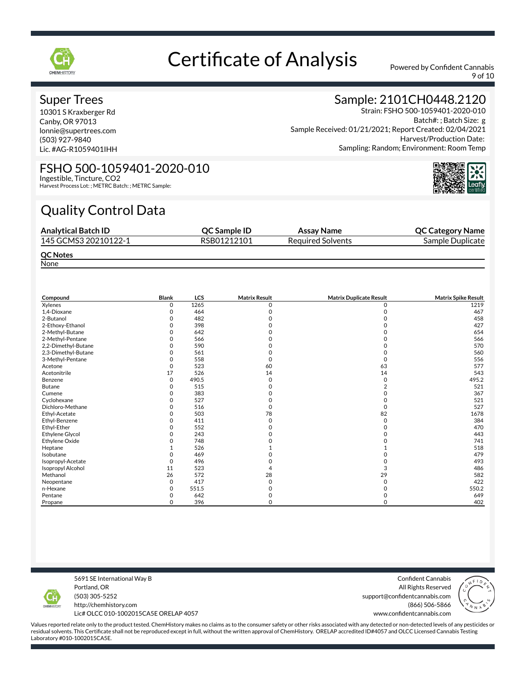

9 of 10

#### Super Trees

10301 S Kraxberger Rd Canby, OR 97013 lonnie@supertrees.com (503) 927-9840 Lic. #AG-R1059401IHH

## Sample: 2101CH0448.2120

Strain: FSHO 500-1059401-2020-010 Batch#: ; Batch Size: g Sample Received: 01/21/2021; Report Created: 02/04/2021 Harvest/Production Date: Sampling: Random; Environment: Room Temp

### FSHO 500-1059401-2020-010

Ingestible, Tincture, CO2 Harvest Process Lot: ; METRC Batch: ; METRC Sample:

# Quality Control Data

| <b>Analytical Batch ID</b> | OC Sample ID | Assay Name               | <b>QC Category Name</b> |
|----------------------------|--------------|--------------------------|-------------------------|
| 145 GCMS3 20210122-1       | RSB01212101  | <b>Required Solvents</b> | Sample Duplicate        |
| <b>QC Notes</b>            |              |                          |                         |

None

| Compound                 | Blank | <b>LCS</b> | <b>Matrix Result</b> | <b>Matrix Duplicate Result</b> | <b>Matrix Spike Result</b> |
|--------------------------|-------|------------|----------------------|--------------------------------|----------------------------|
| Xylenes                  | 0     | 1265       | C                    | 0                              | 1219                       |
| 1,4-Dioxane              | 0     | 464        |                      | 0                              | 467                        |
| 2-Butanol                | O     | 482        |                      | n                              | 458                        |
| 2-Ethoxy-Ethanol         | O     | 398        |                      |                                | 427                        |
| 2-Methyl-Butane          | 0     | 642        |                      |                                | 654                        |
| 2-Methyl-Pentane         | 0     | 566        |                      | O                              | 566                        |
| 2,2-Dimethyl-Butane      | 0     | 590        |                      |                                | 570                        |
| 2,3-Dimethyl-Butane      | O     | 561        |                      | O                              | 560                        |
| 3-Methyl-Pentane         | 0     | 558        |                      | n                              | 556                        |
| Acetone                  | 0     | 523        | 60                   | 63                             | 577                        |
| Acetonitrile             | 17    | 526        | 14                   | 14                             | 543                        |
| Benzene                  | 0     | 490.5      | O                    | 0                              | 495.2                      |
| Butane                   | 0     | 515        |                      |                                | 521                        |
| Cumene                   | 0     | 383        |                      | ი                              | 367                        |
| Cyclohexane              | O     | 527        |                      | O                              | 521                        |
| Dichloro-Methane         | O     | 516        | O                    | 0                              | 527                        |
| Ethyl-Acetate            | 0     | 503        | 78                   | 82                             | 1678                       |
| Ethyl-Benzene            | 0     | 411        | O                    | $\Omega$                       | 384                        |
| Ethyl-Ether              | 0     | 552        |                      | n                              | 470                        |
| Ethylene Glycol          | 0     | 243        |                      | O                              | 443                        |
| Ethylene Oxide           |       | 748        |                      |                                | 741                        |
| Heptane                  |       | 526        |                      |                                | 518                        |
| Isobutane                | O     | 469        |                      | O                              | 479                        |
| Isopropyl-Acetate        | 0     | 496        |                      | ი                              | 493                        |
| <b>Isopropyl Alcohol</b> | 11    | 523        |                      | 3                              | 486                        |
| Methanol                 | 26    | 572        | 28                   | 29                             | 582                        |
| Neopentane               | 0     | 417        | 0                    | 0                              | 422                        |
| n-Hexane                 | 0     | 551.5      |                      | O                              | 550.2                      |
| Pentane                  | 0     | 642        |                      | 0                              | 649                        |
| Propane                  | 0     | 396        | 0                    | 0                              | 402                        |

5691 SE International Way B Portland, OR (503) 305-5252

Confident Cannabis All Rights Reserved support@confidentcannabis.com (866) 506-5866

www.confidentcannabis.com



http://chemhistory.com

Lic# OLCC 010-1002015CA5E ORELAP 4057